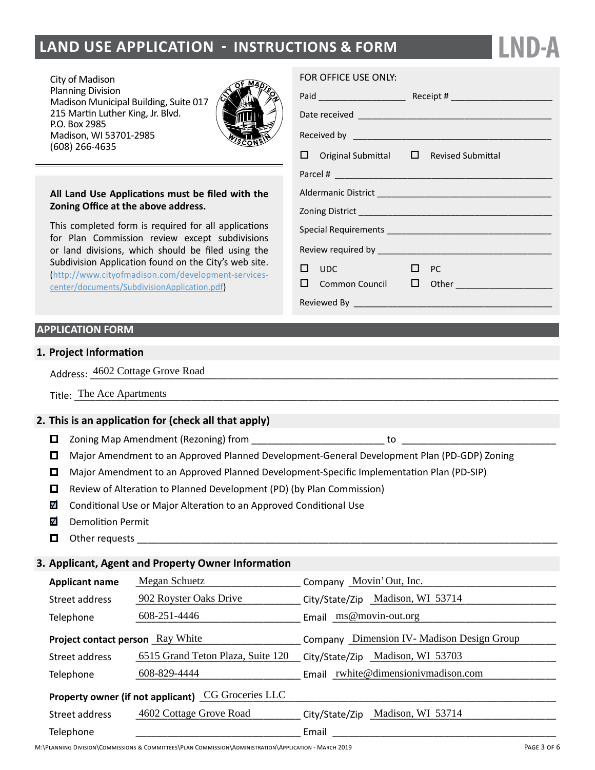# **land Use Application - instructions & form**

City of Madison Planning Division Madison Municipal Building, Suite 017 215 Martin Luther King, Jr. Blvd. P.O. Box 2985 Madison, WI 53701-2985 (608) 266-4635



#### **All Land Use Applications must be filed with the Zoning Office at the above address.**

This completed form is required for all applications for Plan Commission review except subdivisions or land divisions, which should be filed using the Subdivision Application found on the City's web site. ([http://www.cityofmadison.com/development-services](http://www.cityofmadison.com/development-services-center/documents/SubdivisionApplication.pdf)[center/documents/SubdivisionApplication.pdf\)](http://www.cityofmadison.com/development-services-center/documents/SubdivisionApplication.pdf)

### **APPLICATION FORM**

#### **1. Project Information**

Address:  $\frac{4602 \text{ Cottage}$  Grove Road

| m.<br>`he<br>Ace<br>Title<br>Aparunents |  |
|-----------------------------------------|--|
|-----------------------------------------|--|

#### **2. This is an application for (check all that apply)**

- Zoning Map Amendment (Rezoning) from \_\_\_\_\_\_\_\_\_\_\_\_\_\_\_\_\_\_\_\_\_\_\_\_\_ to \_\_\_\_\_\_\_\_\_\_\_\_\_\_\_\_\_\_\_\_\_\_\_\_\_\_\_\_\_
- Major Amendment to an Approved Planned Development-General Development Plan (PD-GDP) Zoning
- Major Amendment to an Approved Planned Development-Specific Implementation Plan (PD-SIP)
- $\Box$  Review of Alteration to Planned Development (PD) (by Plan Commission)
- $\overline{\mathbf{v}}$ Conditional Use or Major Alteration to an Approved Conditional Use
- M Demolition Permit
- П. Other requests

#### **3. Applicant, Agent and Property Owner Information**

| <b>Applicant name</b>                              | Megan Schuetz                     | Company Movin' Out, Inc.                       |  |  |
|----------------------------------------------------|-----------------------------------|------------------------------------------------|--|--|
| Street address                                     | 902 Royster Oaks Drive            | City/State/Zip Madison, WI 53714               |  |  |
| Telephone                                          | 608-251-4446                      | Email ms@movin-out.org                         |  |  |
| <b>Project contact person</b> Ray White            |                                   | Dimension IV - Madison Design Group<br>Company |  |  |
| Street address                                     | 6515 Grand Teton Plaza, Suite 120 | Madison, WI 53703<br>City/State/Zip            |  |  |
| Telephone                                          | 608-829-4444                      | Email rwhite@dimensionivmadison.com            |  |  |
| Property owner (if not applicant) CG Groceries LLC |                                   |                                                |  |  |
| Street address                                     | 4602 Cottage Grove Road           | Madison, WI 53714<br>City/State/Zip            |  |  |
| Telephone                                          |                                   | Email                                          |  |  |

### FOR OFFICE USE ONLY:

|   |                                                    | Receipt # $\sqrt{ }$ |                                           |  |  |
|---|----------------------------------------------------|----------------------|-------------------------------------------|--|--|
|   |                                                    |                      |                                           |  |  |
|   |                                                    |                      |                                           |  |  |
|   | $\Box$ Original Submittal $\Box$ Revised Submittal |                      |                                           |  |  |
|   |                                                    |                      |                                           |  |  |
|   |                                                    |                      |                                           |  |  |
|   |                                                    |                      |                                           |  |  |
|   |                                                    |                      |                                           |  |  |
|   |                                                    |                      |                                           |  |  |
| П | UDC                                                | $\mathsf{L}$         | - PC                                      |  |  |
|   |                                                    |                      | $\Box$ Common Council $\Box$ Other $\Box$ |  |  |
|   |                                                    |                      |                                           |  |  |